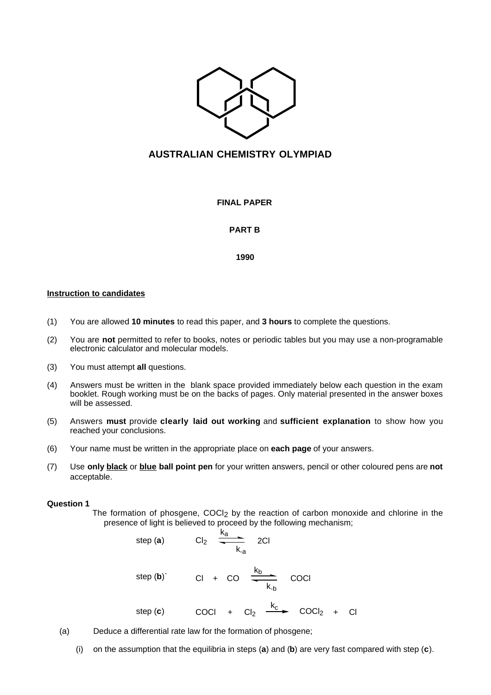

# **AUSTRALIAN CHEMISTRY OLYMPIAD**

**FINAL PAPER**

# **PART B**

**1990**

### **Instruction to candidates**

- (1) You are allowed **10 minutes** to read this paper, and **3 hours** to complete the questions.
- (2) You are **not** permitted to refer to books, notes or periodic tables but you may use a non-programable electronic calculator and molecular models.
- (3) You must attempt **all** questions.
- (4) Answers must be written in the blank space provided immediately below each question in the exam booklet. Rough working must be on the backs of pages. Only material presented in the answer boxes will be assessed.
- (5) Answers **must** provide **clearly laid out working** and **sufficient explanation** to show how you reached your conclusions.
- (6) Your name must be written in the appropriate place on **each page** of your answers.
- (7) Use **only black** or **blue ball point pen** for your written answers, pencil or other coloured pens are **not** acceptable.

#### **Question 1**

The formation of phosgene,  $COCl<sub>2</sub>$  by the reaction of carbon monoxide and chlorine in the presence of light is believed to proceed by the following mechanism;

step (a) 
$$
Cl_2 \xrightarrow{k_a}
$$
 2Cl  
\nstep (b)  $Cl_2 + CO \xrightarrow{k_b}$  COCl  
\nstep (c) COCl +  $Cl_2 \xrightarrow{k_c}$  COCl<sub>2</sub> + Cl

- (a) Deduce a differential rate law for the formation of phosgene;
	- (i) on the assumption that the equilibria in steps (**a**) and (**b**) are very fast compared with step (**c**).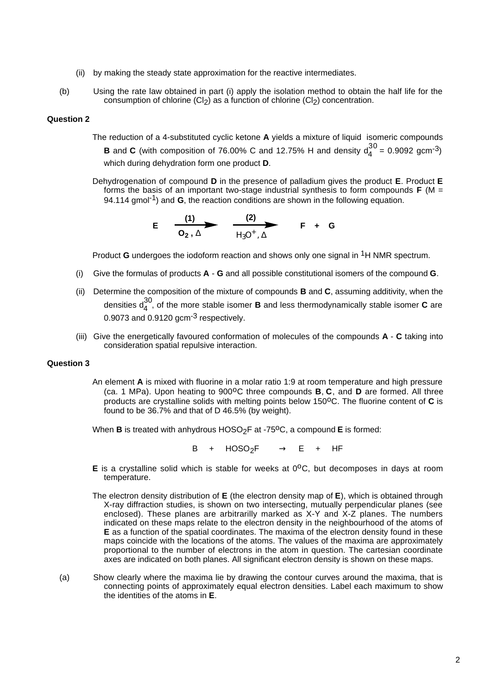- (ii) by making the steady state approximation for the reactive intermediates.
- (b) Using the rate law obtained in part (i) apply the isolation method to obtain the half life for the consumption of chlorine  $(Cl<sub>2</sub>)$  as a function of chlorine  $(Cl<sub>2</sub>)$  concentration.

### **Question 2**

- The reduction of a 4-substituted cyclic ketone **A** yields a mixture of liquid isomeric compounds **B** and **C** (with composition of 76.00% C and 12.75% H and density  $d_4^{30} = 0.9092$  gcm<sup>-3</sup>) which during dehydration form one product **D**.
- Dehydrogenation of compound **D** in the presence of palladium gives the product **E**. Product **E** forms the basis of an important two-stage industrial synthesis to form compounds **F** (M = 94.114 gmol-1) and **G**, the reaction conditions are shown in the following equation.

$$
E \quad \frac{(1)}{O_2 \,, \Delta} \qquad \frac{(2)}{H_3 O^+ \,, \Delta} \qquad F \quad + \quad G
$$

Product **G** undergoes the iodoform reaction and shows only one signal in 1H NMR spectrum.

- (i) Give the formulas of products **A** - **G** and all possible constitutional isomers of the compound **G**.
- (ii) Determine the composition of the mixture of compounds **B** and **C**, assuming additivity, when the densities d<sup>30</sup> <sup>4</sup> , of the more stable isomer **B** and less thermodynamically stable isomer **C** are 0.9073 and 0.9120 gcm<sup>-3</sup> respectively.
- (iii) Give the energetically favoured conformation of molecules of the compounds **A C** taking into consideration spatial repulsive interaction.

#### **Question 3**

An element **A** is mixed with fluorine in a molar ratio 1:9 at room temperature and high pressure (ca. 1 MPa). Upon heating to 900<sup>o</sup>C three compounds **B**, **C**, and **D** are formed. All three products are crystalline solids with melting points below 150°C. The fluorine content of C is found to be 36.7% and that of D 46.5% (by weight).

When **B** is treated with anhydrous HOSO<sub>2</sub>F at -75<sup>o</sup>C, a compound **E** is formed:

 $B + HOSO_2F \longrightarrow E + HF$ 

- **E** is a crystalline solid which is stable for weeks at 0°C, but decomposes in days at room temperature.
- The electron density distribution of **E** (the electron density map of **E**), which is obtained through X-ray diffraction studies, is shown on two intersecting, mutually perpendicular planes (see enclosed). These planes are arbitrarilly marked as X-Y and X-Z planes. The numbers indicated on these maps relate to the electron density in the neighbourhood of the atoms of **E** as a function of the spatial coordinates. The maxima of the electron density found in these maps coincide with the locations of the atoms. The values of the maxima are approximately proportional to the number of electrons in the atom in question. The cartesian coordinate axes are indicated on both planes. All significant electron density is shown on these maps.
- (a) Show clearly where the maxima lie by drawing the contour curves around the maxima, that is connecting points of approximately equal electron densities. Label each maximum to show the identities of the atoms in **E**.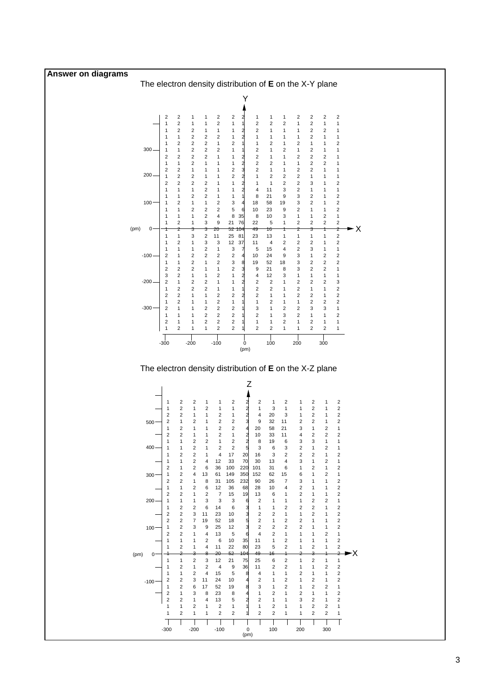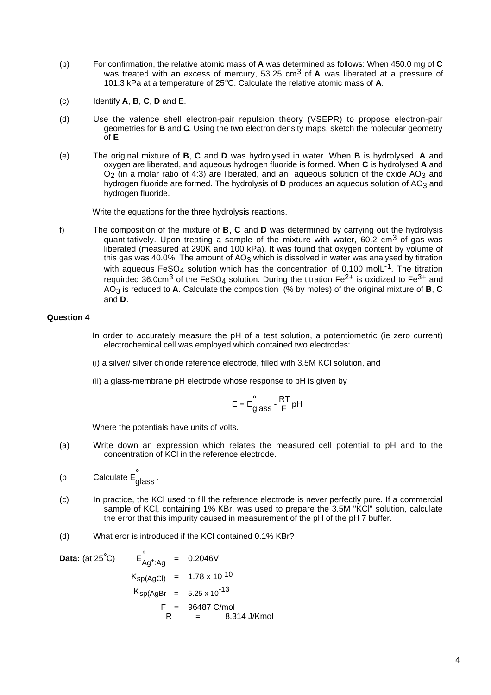- (b) For confirmation, the relative atomic mass of **A** was determined as follows: When 450.0 mg of **C** was treated with an excess of mercury, 53.25 cm<sup>3</sup> of **A** was liberated at a pressure of 101.3 kPa at a temperature of 25°C. Calculate the relative atomic mass of **A**.
- (c) Identify **A**, **B**, **C**, **D** and **E**.
- (d) Use the valence shell electron-pair repulsion theory (VSEPR) to propose electron-pair geometries for **B** and **C**. Using the two electron density maps, sketch the molecular geometry of **E**.
- (e) The original mixture of **B**, **C** and **D** was hydrolysed in water. When **B** is hydrolysed, **A** and oxygen are liberated, and aqueous hydrogen fluoride is formed. When **C** is hydrolysed **A** and O<sub>2</sub> (in a molar ratio of 4:3) are liberated, and an aqueous solution of the oxide  $AO_3$  and hydrogen fluoride are formed. The hydrolysis of **D** produces an aqueous solution of AO<sub>3</sub> and hydrogen fluoride.

Write the equations for the three hydrolysis reactions.

f) The composition of the mixture of **B**, **C** and **D** was determined by carrying out the hydrolysis quantitatively. Upon treating a sample of the mixture with water,  $60.2 \text{ cm}^3$  of gas was liberated (measured at 290K and 100 kPa). It was found that oxygen content by volume of this gas was 40.0%. The amount of AO<sub>3</sub> which is dissolved in water was analysed by titration with aqueous FeSO<sub>4</sub> solution which has the concentration of 0.100 molL<sup>-1</sup>. The titration requirded 36.0cm<sup>3</sup> of the FeSO<sub>4</sub> solution. During the titration Fe<sup>2+</sup> is oxidized to Fe<sup>3+</sup> and  $A\overrightarrow{O}_3$  is reduced to **A**. Calculate the composition (% by moles) of the original mixture of **B**, **C** and **D**.

# **Question 4**

- In order to accurately measure the pH of a test solution, a potentiometric (ie zero current) electrochemical cell was employed which contained two electrodes:
- (i) a silver/ silver chloride reference electrode, filled with 3.5M KCl solution, and
- (ii) a glass-membrane pH electrode whose response to pH is given by

$$
E = E_{glass}^{\circ} \cdot \frac{RT}{F} pH
$$

Where the potentials have units of volts.

- (a) Write down an expression which relates the measured cell potential to pH and to the concentration of KCl in the reference electrode.
- (b Calculate  $\mathsf{E}_{\mathsf{glass}}^{\degree}$  .
- (c) In practice, the KCl used to fill the reference electrode is never perfectly pure. If a commercial sample of KCl, containing 1% KBr, was used to prepare the 3.5M "KCl" solution, calculate the error that this impurity caused in measurement of the pH of the pH 7 buffer.
- (d) What eror is introduced if the KCl contained 0.1% KBr?

**Data:** (at 25<sup>°</sup>C) 
$$
E_{Ag^+;Ag}^{\circ}
$$
 = 0.2046V  
\n $K_{sp(AgCl)} = 1.78 \times 10^{-10}$   
\n $K_{sp(AgBr)} = 5.25 \times 10^{-13}$   
\n $F = 96487 \text{ C/mol}$   
\nR = 8.314 J/Kmol